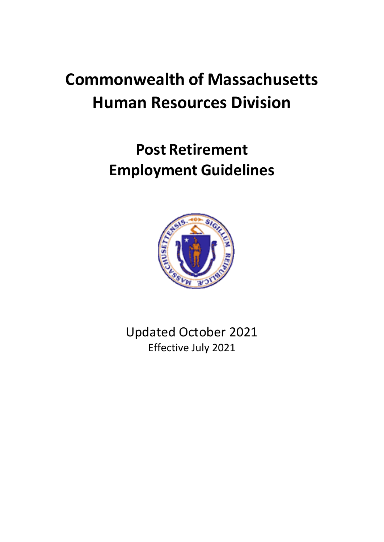# **Commonwealth of Massachusetts Human Resources Division**

# **Post Retirement Employment Guidelines**



Updated October 2021 Effective July 2021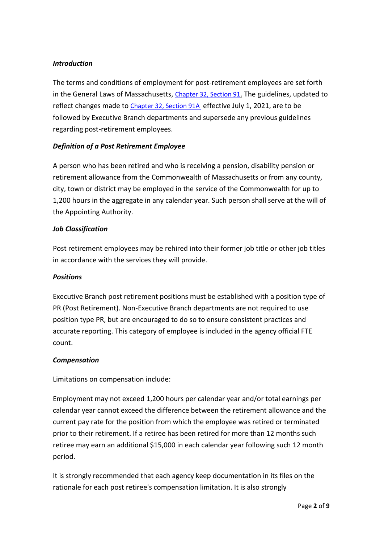## *Introduction*

The terms and conditions of employment for post-retirement employees are set forth in the General Laws of Massachusetts, [Chapter 32, Section 91](https://malegislature.gov/Laws/GeneralLaws/PartI/TitleIV/Chapter32/Section91). The guidelines, updated to reflect changes made to [Chapter 32, Section 91A](https://malegislature.gov/Laws/GeneralLaws/PartI/TitleIV/Chapter32/Section91A) effective July 1, 2021, are to be followed by Executive Branch departments and supersede any previous guidelines regarding post-retirement employees.

## *Definition of a Post Retirement Employee*

A person who has been retired and who is receiving a pension, disability pension or retirement allowance from the Commonwealth of Massachusetts or from any county, city, town or district may be employed in the service of the Commonwealth for up to 1,200 hours in the aggregate in any calendar year. Such person shall serve at the will of the Appointing Authority.

#### *Job Classification*

Post retirement employees may be rehired into their former job title or other job titles in accordance with the services they will provide.

## *Positions*

Executive Branch post retirement positions must be established with a position type of PR (Post Retirement). Non-Executive Branch departments are not required to use position type PR, but are encouraged to do so to ensure consistent practices and accurate reporting. This category of employee is included in the agency official FTE count.

## *Compensation*

Limitations on compensation include:

Employment may not exceed 1,200 hours per calendar year and/or total earnings per calendar year cannot exceed the difference between the retirement allowance and the current pay rate for the position from which the employee was retired or terminated prior to their retirement. If a retiree has been retired for more than 12 months such retiree may earn an additional \$15,000 in each calendar year following such 12 month period.

It is strongly recommended that each agency keep documentation in its files on the rationale for each post retiree's compensation limitation. It is also strongly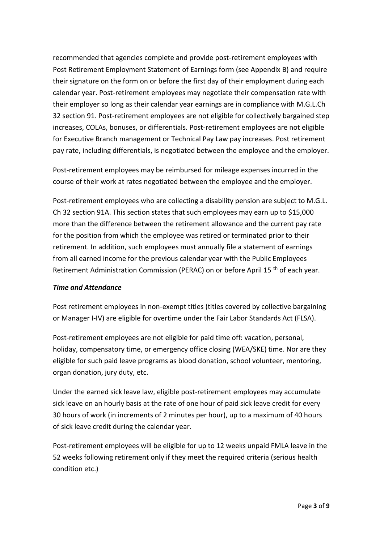recommended that agencies complete and provide post-retirement employees with Post Retirement Employment Statement of Earnings form (see Appendix B) and require their signature on the form on or before the first day of their employment during each calendar year. Post-retirement employees may negotiate their compensation rate with their employer so long as their calendar year earnings are in compliance with M.G.L.Ch 32 section 91. Post-retirement employees are not eligible for collectively bargained step increases, COLAs, bonuses, or differentials. Post-retirement employees are not eligible for Executive Branch management or Technical Pay Law pay increases. Post retirement pay rate, including differentials, is negotiated between the employee and the employer.

Post-retirement employees may be reimbursed for mileage expenses incurred in the course of their work at rates negotiated between the employee and the employer.

Post-retirement employees who are collecting a disability pension are subject to M.G.L. Ch 32 section 91A. This section states that such employees may earn up to \$15,000 more than the difference between the retirement allowance and the current pay rate for the position from which the employee was retired or terminated prior to their retirement. In addition, such employees must annually file a statement of earnings from all earned income for the previous calendar year with the Public Employees Retirement Administration Commission (PERAC) on or before April 15<sup>th</sup> of each year.

#### *Time and Attendance*

Post retirement employees in non-exempt titles (titles covered by collective bargaining or Manager I-IV) are eligible for overtime under the Fair Labor Standards Act (FLSA).

Post-retirement employees are not eligible for paid time off: vacation, personal, holiday, compensatory time, or emergency office closing (WEA/SKE) time. Nor are they eligible for such paid leave programs as blood donation, school volunteer, mentoring, organ donation, jury duty, etc.

Under the earned sick leave law, eligible post-retirement employees may accumulate sick leave on an hourly basis at the rate of one hour of paid sick leave credit for every 30 hours of work (in increments of 2 minutes per hour), up to a maximum of 40 hours of sick leave credit during the calendar year.

Post-retirement employees will be eligible for up to 12 weeks unpaid FMLA leave in the 52 weeks following retirement only if they meet the required criteria (serious health condition etc.)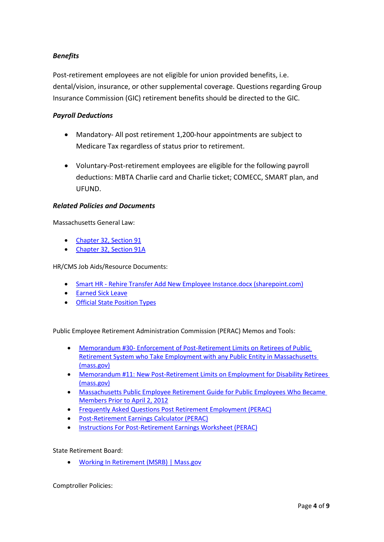## *Benefits*

Post-retirement employees are not eligible for union provided benefits, i.e. dental/vision, insurance, or other supplemental coverage. Questions regarding Group Insurance Commission (GIC) retirement benefits should be directed to the GIC.

#### *Payroll Deductions*

- Mandatory- All post retirement 1,200-hour appointments are subject to Medicare Tax regardless of status prior to retirement.
- Voluntary-Post-retirement employees are eligible for the following payroll deductions: MBTA Charlie card and Charlie ticket; COMECC, SMART plan, and UFUND.

#### *Related Policies and Documents*

Massachusetts General Law:

- [Chapter 32, Section 91](https://malegislature.gov/Laws/GeneralLaws/PartI/TitleIV/Chapter32/Section91A)
- [Chapter 32, Section 91A](https://malegislature.gov/Laws/GeneralLaws/PartI/TitleIV/Chapter32/Section91A)

HR/CMS Job Aids/Resource Documents:

- Smart HR [Rehire Transfer Add New Employee Instance.docx \(sharepoint.com\)](https://massgov.sharepoint.com/:w:/r/sites/HRD-HRCMSKnowledgeCenter/_layouts/15/Doc.aspx?sourcedoc=%7BBCE10D4D-CBAA-4C80-9A31-2E66D63EC192%7D&file=Smart%20HR%20-%20Rehire%20Transfer%20Add%20New%20Employee%20Instance.docx&action=default&mobileredirect=true)
- [Earned Sick Leave](https://www.mass.gov/info-details/earned-sick-time)
- [Official State Position Types](https://massgov.sharepoint.com/:w:/r/sites/HRD-HRCMSKnowledgeCenter/_layouts/15/Doc.aspx?sourcedoc=%7BD4850FE2-4BA2-48FB-BD1B-81DFD049E013%7D&file=Official_State_Position_Types.docx&action=default&mobileredirect=true)

Public Employee Retirement Administration Commission (PERAC) Memos and Tools:

- Memorandum #30- [Enforcement of Post-Retirement Limits on Retirees of Public](https://www.mass.gov/doc/memorandum-30-1/download?_ga=2.12280564.1761543062.1634673177-1401955135.1621449733)  [Retirement System who Take Employment with any Public Entity in Massachusetts](https://www.mass.gov/doc/memorandum-30-1/download?_ga=2.12280564.1761543062.1634673177-1401955135.1621449733) [\(mass.gov\)](https://www.mass.gov/doc/memorandum-30-1/download?_ga=2.12280564.1761543062.1634673177-1401955135.1621449733)
- [Memorandum #11: New Post-Retirement Limits on Employment for Disability Retirees](https://www.mass.gov/doc/memorandum-11-2/download?_ga=2.188491368.1761543062.1634673177-1401955135.1621449733) [\(mass.gov\)](https://www.mass.gov/doc/memorandum-11-2/download?_ga=2.188491368.1761543062.1634673177-1401955135.1621449733)
- [Massachusetts Public Employee Retirement Guide for Public Employees Who Became](http://www.mass.gov/perac/docs/retirement-guides/retirement-guide-pre-2012.pdf)  [Members Prior to April 2, 2012](http://www.mass.gov/perac/docs/retirement-guides/retirement-guide-pre-2012.pdf)
- [Frequently Asked Questions Post Retirement Employment \(PERAC\)](http://www.mass.gov/perac/docs/forms-pub/memos/2013/3013faq.pdf)
- [Post-Retirement Earnings Calculator \(PERAC\)](https://www.mass.gov/doc/memorandum-30-attachment-3/download?_ga=2.121334088.1761543062.1634673177-1401955135.1621449733)
- [Instructions For Post-Retirement Earnings Worksheet \(PERAC\)](https://www.mass.gov/doc/instructions-for-post-retirement-earnings-worksheet-0/download?_ga=2.117998025.1761543062.1634673177-1401955135.1621449733)

State Retirement Board:

• [Working In Retirement \(MSRB\) | Mass.gov](https://www.mass.gov/service-details/working-in-retirement-msrb)

Comptroller Policies: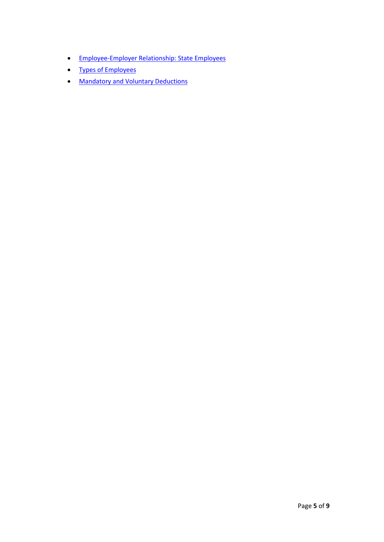- [Employee-Employer Relationship: State Employees](https://public.powerdms.com/MAComptroller/documents/1779889)
- [Types of Employees](https://public.powerdms.com/MAComptroller/documents/1779888)
- Mandatory and Voluntary [Deductions](https://public.powerdms.com/MAComptroller/documents/1779878)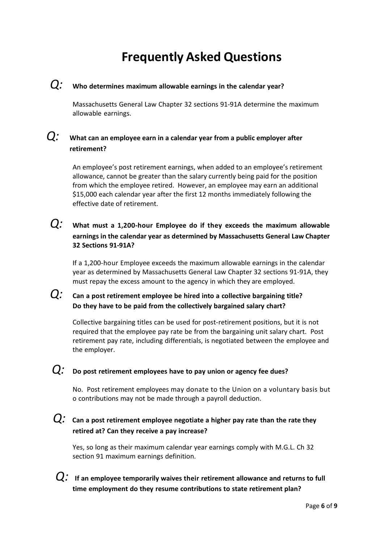# **Frequently Asked Questions**

# *Q:* **Who determines maximum allowable earnings in the calendar year?**

Massachusetts General Law Chapter 32 sections 91-91A determine the maximum allowable earnings.

# *Q:* **What can an employee earn in a calendar year from a public employer after retirement?**

An employee's post retirement earnings, when added to an employee's retirement allowance, cannot be greater than the salary currently being paid for the position from which the employee retired. However, an employee may earn an additional \$15,000 each calendar year after the first 12 months immediately following the effective date of retirement.

# *Q:* **What must <sup>a</sup> 1,200-hour Employee do if they exceeds the maximum allowable earnings in the calendar year as determined by Massachusetts General Law Chapter 32 Sections 91-91A?**

If a 1,200-hour Employee exceeds the maximum allowable earnings in the calendar year as determined by Massachusetts General Law Chapter 32 sections 91-91A, they must repay the excess amount to the agency in which they are employed.

# *Q:* **Can <sup>a</sup> post retirement employee be hired into <sup>a</sup> collective bargaining title? Do they have to be paid from the collectively bargained salary chart?**

Collective bargaining titles can be used for post-retirement positions, but it is not required that the employee pay rate be from the bargaining unit salary chart. Post retirement pay rate, including differentials, is negotiated between the employee and the employer.

# *Q:* **Do post retirement employees have to pay union or agency fee dues?**

No. Post retirement employees may donate to the Union on a voluntary basis but o contributions may not be made through a payroll deduction.

# *Q:* **Can <sup>a</sup> post retirement employee negotiate <sup>a</sup> higher pay rate than the rate they retired at? Can they receive a pay increase?**

Yes, so long as their maximum calendar year earnings comply with M.G.L. Ch 32 section 91 maximum earnings definition.

*Q:* **If an employee temporarily waives their retirement allowance and returns to full time employment do they resume contributions to state retirement plan?**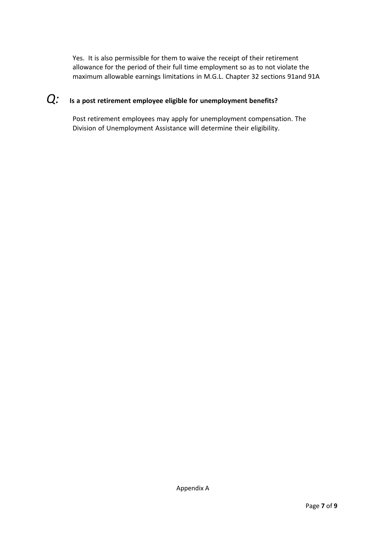Yes. It is also permissible for them to waive the receipt of their retirement allowance for the period of their full time employment so as to not violate the maximum allowable earnings limitations in M.G.L. Chapter 32 sections 91and 91A

# *Q:* **Is <sup>a</sup> post retirement employee eligible for unemployment benefits?**

Post retirement employees may apply for unemployment compensation. The Division of Unemployment Assistance will determine their eligibility.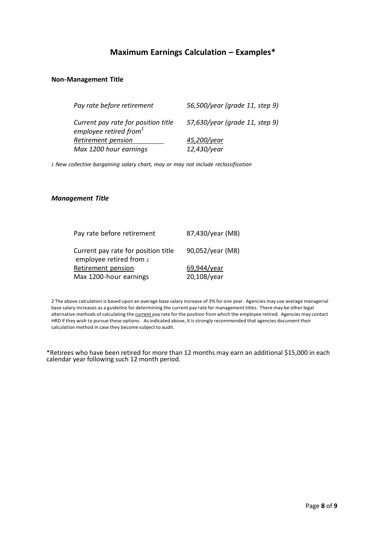# **Maximum Earnings Calculation – Examples\***

#### **Non-Management Title**

| 56,500/year (grade 11, step 9) |
|--------------------------------|
| 57,630/year (grade 11, step 9) |
| 45,200/year                    |
| 12,430/year                    |
|                                |

*1 New collective bargaining salary chart, may or may not include reclassification*

#### *Management Title*

| Pay rate before retirement                                     | 87,430/year (M8) |
|----------------------------------------------------------------|------------------|
| Current pay rate for position title<br>employee retired from 2 | 90,052/year (M8) |
| Retirement pension                                             | 69,944/year      |
| Max 1200-hour earnings                                         | 20,108/year      |

2 The above calculation is based upon an average base salary increase of 3% for one year. Agencies may use average managerial base salary increases as a guideline for determining the current pay rate for management titles. There may be other legal alternative methods of calculating the current pay rate for the position from which the employee retired. Agencies may contact HRD if they wish to pursue these options. Asindicated above, it isstrongly recommended that agencies document their calculation method in case they become subject to audit.

\*Retirees who have been retired for more than 12 months may earn an additional \$15,000 in each calendar year following such 12 month period.